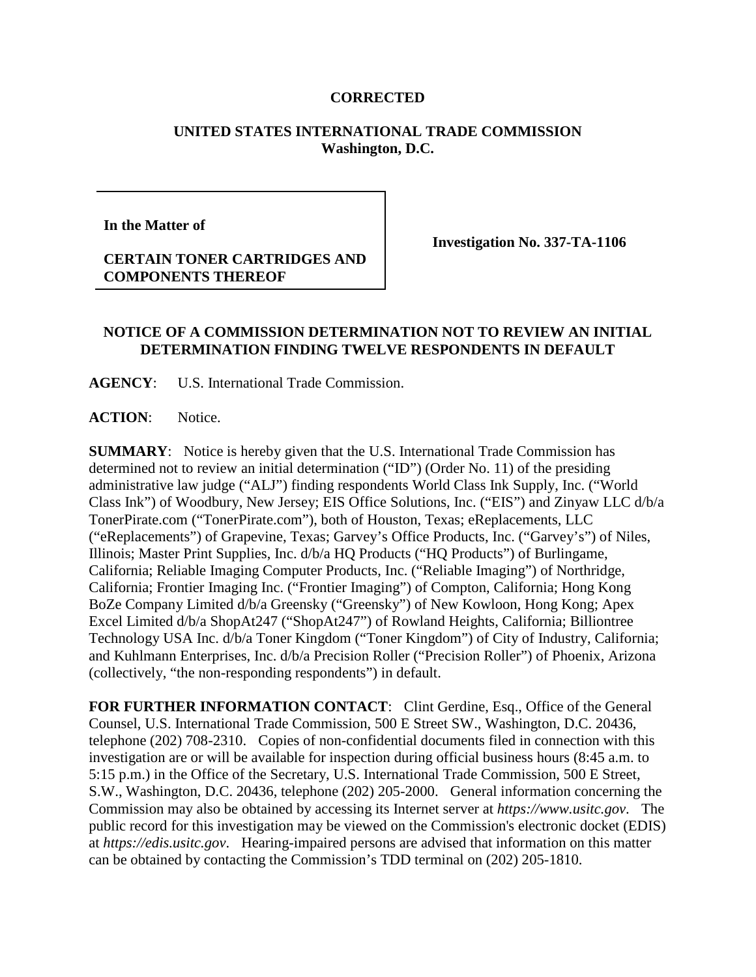## **CORRECTED**

## **UNITED STATES INTERNATIONAL TRADE COMMISSION Washington, D.C.**

**In the Matter of** 

**CERTAIN TONER CARTRIDGES AND COMPONENTS THEREOF**

**Investigation No. 337-TA-1106**

## **NOTICE OF A COMMISSION DETERMINATION NOT TO REVIEW AN INITIAL DETERMINATION FINDING TWELVE RESPONDENTS IN DEFAULT**

**AGENCY**: U.S. International Trade Commission.

**ACTION**: Notice.

**SUMMARY**: Notice is hereby given that the U.S. International Trade Commission has determined not to review an initial determination ("ID") (Order No. 11) of the presiding administrative law judge ("ALJ") finding respondents World Class Ink Supply, Inc. ("World Class Ink") of Woodbury, New Jersey; EIS Office Solutions, Inc. ("EIS") and Zinyaw LLC d/b/a TonerPirate.com ("TonerPirate.com"), both of Houston, Texas; eReplacements, LLC ("eReplacements") of Grapevine, Texas; Garvey's Office Products, Inc. ("Garvey's") of Niles, Illinois; Master Print Supplies, Inc. d/b/a HQ Products ("HQ Products") of Burlingame, California; Reliable Imaging Computer Products, Inc. ("Reliable Imaging") of Northridge, California; Frontier Imaging Inc. ("Frontier Imaging") of Compton, California; Hong Kong BoZe Company Limited d/b/a Greensky ("Greensky") of New Kowloon, Hong Kong; Apex Excel Limited d/b/a ShopAt247 ("ShopAt247") of Rowland Heights, California; Billiontree Technology USA Inc. d/b/a Toner Kingdom ("Toner Kingdom") of City of Industry, California; and Kuhlmann Enterprises, Inc. d/b/a Precision Roller ("Precision Roller") of Phoenix, Arizona (collectively, "the non-responding respondents") in default.

FOR FURTHER INFORMATION CONTACT: Clint Gerdine, Esq., Office of the General Counsel, U.S. International Trade Commission, 500 E Street SW., Washington, D.C. 20436, telephone (202) 708-2310. Copies of non-confidential documents filed in connection with this investigation are or will be available for inspection during official business hours (8:45 a.m. to 5:15 p.m.) in the Office of the Secretary, U.S. International Trade Commission, 500 E Street, S.W., Washington, D.C. 20436, telephone (202) 205-2000. General information concerning the Commission may also be obtained by accessing its Internet server at *https://www.usitc.gov*. The public record for this investigation may be viewed on the Commission's electronic docket (EDIS) at *https://edis.usitc.gov*. Hearing-impaired persons are advised that information on this matter can be obtained by contacting the Commission's TDD terminal on (202) 205-1810.